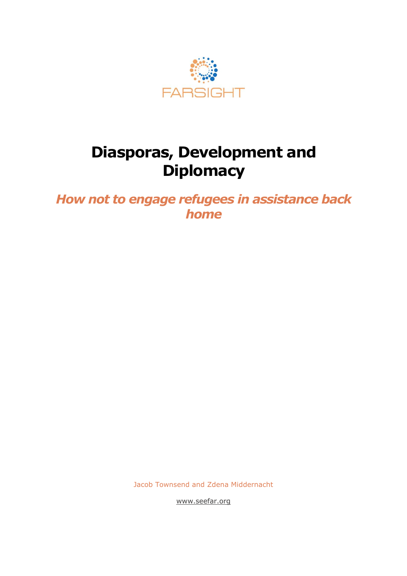

## **Diasporas, Development and Diplomacy**

*How not to engage refugees in assistance back home*

Jacob Townsend and Zdena Middernacht

[www.seefar.org](http://www.seefar.org/)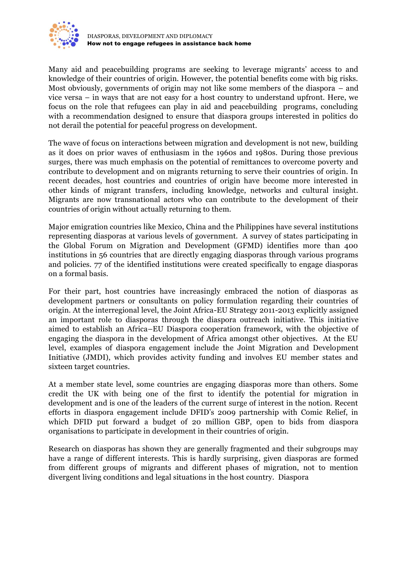

Many aid and peacebuilding programs are seeking to leverage migrants' access to and knowledge of their countries of origin. However, the potential benefits come with big risks. Most obviously, governments of origin may not like some members of the diaspora – and vice versa – in ways that are not easy for a host country to understand upfront. Here, we focus on the role that refugees can play in aid and peacebuilding programs, concluding with a recommendation designed to ensure that diaspora groups interested in politics do not derail the potential for peaceful progress on development.

The wave of focus on interactions between migration and development is not new, building as it does on prior waves of enthusiasm in the 1960s and 1980s. During those previous surges, there was much emphasis on the potential of remittances to overcome poverty and contribute to development and on migrants returning to serve their countries of origin. In recent decades, host countries and countries of origin have become more interested in other kinds of migrant transfers, including knowledge, networks and cultural insight. Migrants are now transnational actors who can contribute to the development of their countries of origin without actually returning to them.

Major emigration countries like Mexico, China and the Philippines have several institutions representing diasporas at various levels of government. A survey of states participating in the Global Forum on Migration and Development (GFMD) identifies more than 400 institutions in 56 countries that are directly engaging diasporas through various programs and policies. 77 of the identified institutions were created specifically to engage diasporas on a formal basis.

For their part, host countries have increasingly embraced the notion of diasporas as development partners or consultants on policy formulation regarding their countries of origin. At the interregional level, the Joint Africa-EU Strategy 2011-2013 explicitly assigned an important role to diasporas through the diaspora outreach initiative. This initiative aimed to establish an Africa–EU Diaspora cooperation framework, with the objective of engaging the diaspora in the development of Africa amongst other objectives. At the EU level, examples of diaspora engagement include the Joint Migration and Development Initiative (JMDI), which provides activity funding and involves EU member states and sixteen target countries.

At a member state level, some countries are engaging diasporas more than others. Some credit the UK with being one of the first to identify the potential for migration in development and is one of the leaders of the current surge of interest in the notion. Recent efforts in diaspora engagement include DFID's 2009 partnership with Comic Relief, in which DFID put forward a budget of 20 million GBP, open to bids from diaspora organisations to participate in development in their countries of origin.

Research on diasporas has shown they are generally fragmented and their subgroups may have a range of different interests. This is hardly surprising, given diasporas are formed from different groups of migrants and different phases of migration, not to mention divergent living conditions and legal situations in the host country. Diaspora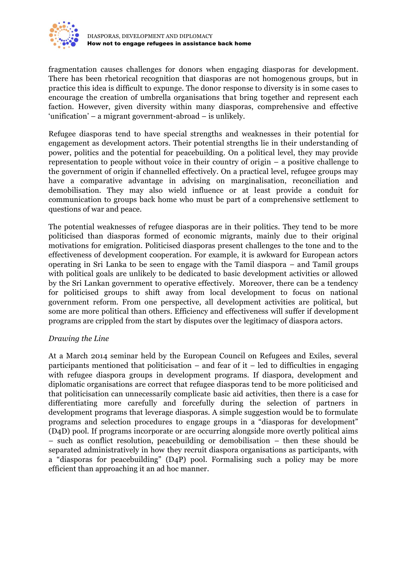

fragmentation causes challenges for donors when engaging diasporas for development. There has been rhetorical recognition that diasporas are not homogenous groups, but in practice this idea is difficult to expunge. The donor response to diversity is in some cases to encourage the creation of umbrella organisations that bring together and represent each faction. However, given diversity within many diasporas, comprehensive and effective 'unification' – a migrant government-abroad – is unlikely.

Refugee diasporas tend to have special strengths and weaknesses in their potential for engagement as development actors. Their potential strengths lie in their understanding of power, politics and the potential for peacebuilding. On a political level, they may provide representation to people without voice in their country of origin – a positive challenge to the government of origin if channelled effectively. On a practical level, refugee groups may have a comparative advantage in advising on marginalisation, reconciliation and demobilisation. They may also wield influence or at least provide a conduit for communication to groups back home who must be part of a comprehensive settlement to questions of war and peace.

The potential weaknesses of refugee diasporas are in their politics. They tend to be more politicised than diasporas formed of economic migrants, mainly due to their original motivations for emigration. Politicised diasporas present challenges to the tone and to the effectiveness of development cooperation. For example, it is awkward for European actors operating in Sri Lanka to be seen to engage with the Tamil diaspora – and Tamil groups with political goals are unlikely to be dedicated to basic development activities or allowed by the Sri Lankan government to operative effectively. Moreover, there can be a tendency for politicised groups to shift away from local development to focus on national government reform. From one perspective, all development activities are political, but some are more political than others. Efficiency and effectiveness will suffer if development programs are crippled from the start by disputes over the legitimacy of diaspora actors.

## *Drawing the Line*

At a March 2014 seminar held by the European Council on Refugees and Exiles, several participants mentioned that politicisation – and fear of it – led to difficulties in engaging with refugee diaspora groups in development programs. If diaspora, development and diplomatic organisations are correct that refugee diasporas tend to be more politicised and that politicisation can unnecessarily complicate basic aid activities, then there is a case for differentiating more carefully and forcefully during the selection of partners in development programs that leverage diasporas. A simple suggestion would be to formulate programs and selection procedures to engage groups in a "diasporas for development" (D4D) pool. If programs incorporate or are occurring alongside more overtly political aims – such as conflict resolution, peacebuilding or demobilisation – then these should be separated administratively in how they recruit diaspora organisations as participants, with a "diasporas for peacebuilding" (D4P) pool. Formalising such a policy may be more efficient than approaching it an ad hoc manner.